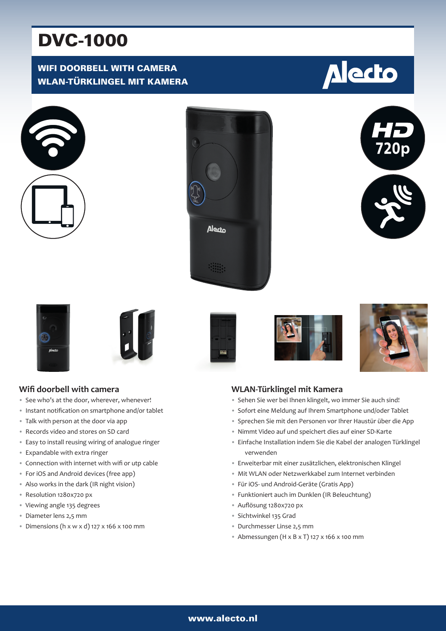# DVC-1000

# WIFI DOORBELL WITH CAMERA WLAN-TÜRKLINGEL MIT KAMERA

# **Alecto**

















# **Wifi doorbell with camera**

- See who's at the door, wherever, whenever!
- Instant notification on smartphone and/or tablet
- Talk with person at the door via app
- Records video and stores on SD card
- Easy to install reusing wiring of analogue ringer
- Expandable with extra ringer
- Connection with internet with wifi or utp cable
- For iOS and Android devices (free app)
- Also works in the dark (IR night vision)
- Resolution 1280x720 px
- Viewing angle 135 degrees
- Diameter lens 2,5 mm
- Dimensions (h x w x d) 127 x 166 x 100 mm

#### **WLAN-Türklingel mit Kamera**

- Sehen Sie wer bei Ihnen klingelt, wo immer Sie auch sind!
- Sofort eine Meldung auf Ihrem Smartphone und/oder Tablet
- Sprechen Sie mit den Personen vor Ihrer Haustür über die App
- Nimmt Video auf und speichert dies auf einer SD-Karte
- Einfache Installation indem Sie die Kabel der analogen Türklingel verwenden
- Erweiterbar mit einer zusätzlichen, elektronischen Klingel
- Mit WLAN oder Netzwerkkabel zum Internet verbinden
- Für iOS- und Android-Geräte (Gratis App)
- Funktioniert auch im Dunklen (IR Beleuchtung)
- Auflösung 1280x720 px
- Sichtwinkel 135 Grad
- Durchmesser Linse 2,5 mm
- Abmessungen (H x B x T) 127 x 166 x 100 mm

#### www.alecto.nl